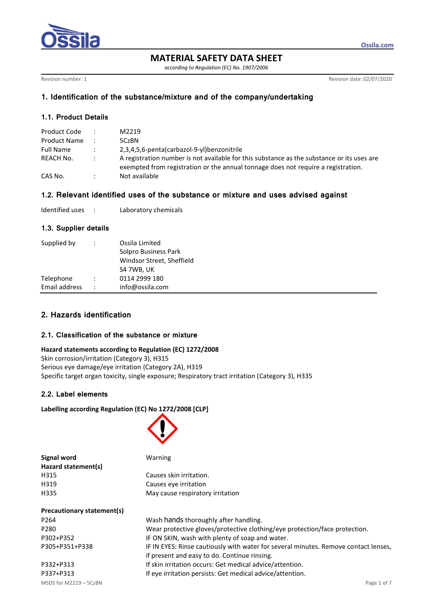

**MATERIAL SAFETY DATA SHEET**

*according to Regulation (EC) No. 1907/2006*

Revision number: 1 Revision date: 02/07/2020

**Ossila.com**

# **1. Identification of the substance/mixture and of the company/undertaking**

## **1.1. Product Details**

| Product Code     | $\mathbb{R}^{\mathbb{Z}}$ | M2219                                                                                                                                                                           |
|------------------|---------------------------|---------------------------------------------------------------------------------------------------------------------------------------------------------------------------------|
| Product Name     |                           | 5CzBN                                                                                                                                                                           |
| <b>Full Name</b> |                           | 2.3.4.5.6-penta(carbazol-9-yl)benzonitrile                                                                                                                                      |
| REACH No.        | $\sim$ 100 $\sim$         | A registration number is not available for this substance as the substance or its uses are<br>exempted from registration or the annual tonnage does not require a registration. |
| CAS No.          |                           | Not available                                                                                                                                                                   |

# **1.2. Relevant identified uses of the substance or mixture and uses advised against**

| Identified uses |  | Laboratory chemicals |
|-----------------|--|----------------------|
|-----------------|--|----------------------|

## **1.3. Supplier details**

| Supplied by   | Ossila Limited<br>Solpro Business Park<br>Windsor Street, Sheffield<br>S4 7WB, UK |
|---------------|-----------------------------------------------------------------------------------|
| Telephone     | 0114 2999 180                                                                     |
| Email address | info@ossila.com                                                                   |

# **2. Hazards identification**

## **2.1. Classification of the substance or mixture**

#### **Hazard statements according to Regulation (EC) 1272/2008**

Skin corrosion/irritation (Category 3), H315 Serious eye damage/eye irritation (Category 2A), H319 Specific target organ toxicity, single exposure; Respiratory tract irritation (Category 3), H335

## **2.2. Label elements**

## **Labelling according Regulation (EC) No 1272/2008 [CLP]**



| Warning                                                                                                         |  |  |  |  |
|-----------------------------------------------------------------------------------------------------------------|--|--|--|--|
|                                                                                                                 |  |  |  |  |
| Causes skin irritation.                                                                                         |  |  |  |  |
| Causes eye irritation                                                                                           |  |  |  |  |
| May cause respiratory irritation                                                                                |  |  |  |  |
| the contract of the contract of the contract of the contract of the contract of the contract of the contract of |  |  |  |  |
|                                                                                                                 |  |  |  |  |

| P264           | Wash hands thoroughly after handling.                                               |
|----------------|-------------------------------------------------------------------------------------|
| P280           | Wear protective gloves/protective clothing/eye protection/face protection.          |
| P302+P352      | IF ON SKIN, wash with plenty of soap and water.                                     |
| P305+P351+P338 | IF IN EYES: Rinse cautiously with water for several minutes. Remove contact lenses, |
|                | if present and easy to do. Continue rinsing.                                        |
| P332+P313      | If skin irritation occurs: Get medical advice/attention.                            |
| P337+P313      | If eye irritation persists: Get medical advice/attention.                           |
|                |                                                                                     |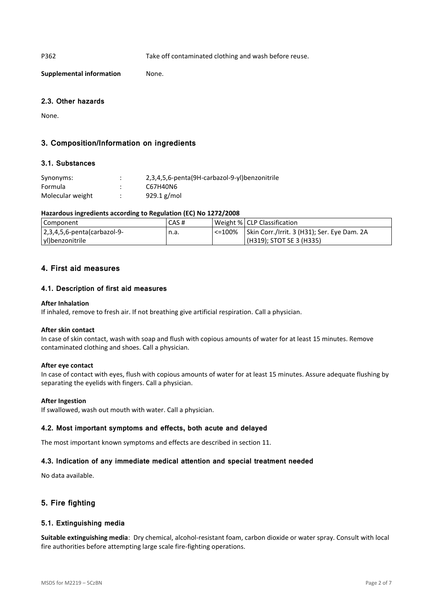P362 Take off contaminated clothing and wash before reuse.

**Supplemental information** None.

## **2.3. Other hazards**

None.

## **3. Composition/Information on ingredients**

## **3.1. Substances**

| Synonyms:        | $\bullet$ | 2,3,4,5,6-penta(9H-carbazol-9-yl)benzonitrile |
|------------------|-----------|-----------------------------------------------|
| Formula          |           | C67H40N6                                      |
| Molecular weight |           | 929.1 $g/mol$                                 |

## **Hazardous ingredients according to Regulation (EC) No 1272/2008**

| Component                                | CAS# |        | Weight %   CLP Classification               |
|------------------------------------------|------|--------|---------------------------------------------|
| $ 2,3,4,5,6$ -penta $\alpha$ rarbazol-9- | n.a. | <=100% | Skin Corr./Irrit. 3 (H31); Ser. Eye Dam. 2A |
| yl)benzonitrile                          |      |        | (H319); STOT SE 3 (H335)                    |

## **4. First aid measures**

## **4.1. Description of first aid measures**

## **After Inhalation**

If inhaled, remove to fresh air. If not breathing give artificial respiration. Call a physician.

#### **After skin contact**

In case of skin contact, wash with soap and flush with copious amounts of water for at least 15 minutes. Remove contaminated clothing and shoes. Call a physician.

## **After eye contact**

In case of contact with eyes, flush with copious amounts of water for at least 15 minutes. Assure adequate flushing by separating the eyelids with fingers. Call a physician.

#### **After Ingestion**

If swallowed, wash out mouth with water. Call a physician.

## **4.2. Most important symptoms and effects, both acute and delayed**

The most important known symptoms and effects are described in section 11.

## **4.3. Indication of any immediate medical attention and special treatment needed**

No data available.

## **5. Fire fighting**

## **5.1. Extinguishing media**

**Suitable extinguishing media**: Dry chemical, alcohol-resistant foam, carbon dioxide or water spray. Consult with local fire authorities before attempting large scale fire-fighting operations.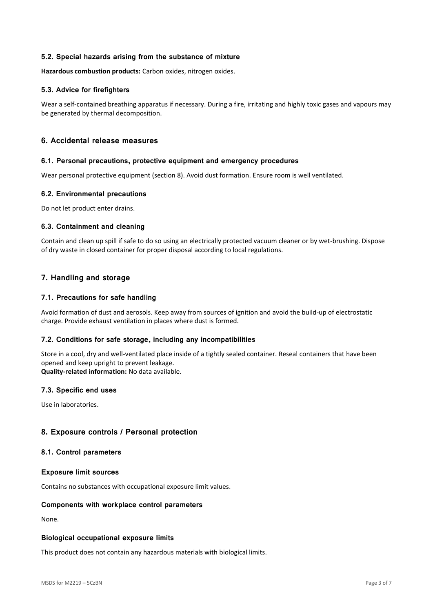## **5.2. Special hazards arising from the substance of mixture**

**Hazardous combustion products:** Carbon oxides, nitrogen oxides.

## **5.3. Advice for firefighters**

Wear a self-contained breathing apparatus if necessary. During a fire, irritating and highly toxic gases and vapours may be generated by thermal decomposition.

## **6. Accidental release measures**

#### **6.1. Personal precautions, protective equipment and emergency procedures**

Wear personal protective equipment (section 8). Avoid dust formation. Ensure room is well ventilated.

## **6.2. Environmental precautions**

Do not let product enter drains.

## **6.3. Containment and cleaning**

Contain and clean up spill if safe to do so using an electrically protected vacuum cleaner or by wet-brushing. Dispose of dry waste in closed container for proper disposal according to local regulations.

## **7. Handling and storage**

## **7.1. Precautions for safe handling**

Avoid formation of dust and aerosols. Keep away from sources of ignition and avoid the build-up of electrostatic charge. Provide exhaust ventilation in places where dust is formed.

## **7.2. Conditions for safe storage, including any incompatibilities**

Store in a cool, dry and well-ventilated place inside of a tightly sealed container. Reseal containers that have been opened and keep upright to prevent leakage.

**Quality-related information:** No data available.

## **7.3. Specific end uses**

Use in laboratories.

## **8. Exposure controls / Personal protection**

#### **8.1. Control parameters**

#### **Exposure limit sources**

Contains no substances with occupational exposure limit values.

## **Components with workplace control parameters**

None.

#### **Biological occupational exposure limits**

This product does not contain any hazardous materials with biological limits.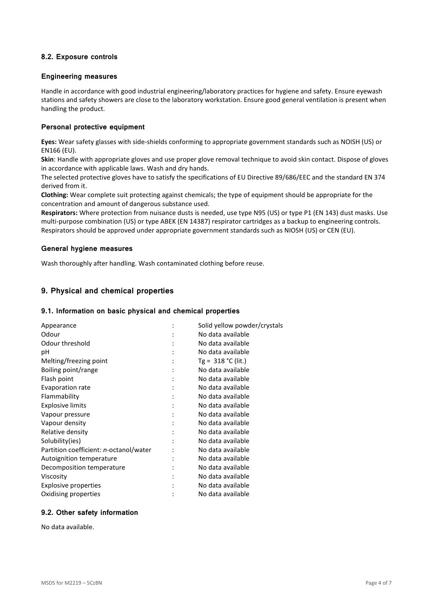## **8.2. Exposure controls**

#### **Engineering measures**

Handle in accordance with good industrial engineering/laboratory practices for hygiene and safety. Ensure eyewash stations and safety showers are close to the laboratory workstation. Ensure good general ventilation is present when handling the product.

## **Personal protective equipment**

**Eyes:** Wear safety glasses with side-shields conforming to appropriate government standards such as NOISH (US) or EN166 (EU).

**Skin**: Handle with appropriate gloves and use proper glove removal technique to avoid skin contact. Dispose of gloves in accordance with applicable laws. Wash and dry hands.

The selected protective gloves have to satisfy the specifications of EU Directive 89/686/EEC and the standard EN 374 derived from it.

**Clothing:** Wear complete suit protecting against chemicals; the type of equipment should be appropriate for the concentration and amount of dangerous substance used.

**Respirators:** Where protection from nuisance dusts is needed, use type N95 (US) or type P1 (EN 143) dust masks. Use multi-purpose combination (US) or type ABEK (EN 14387) respirator cartridges as a backup to engineering controls. Respirators should be approved under appropriate government standards such as NIOSH (US) or CEN (EU).

#### **General hygiene measures**

Wash thoroughly after handling. Wash contaminated clothing before reuse.

## **9. Physical and chemical properties**

#### **9.1. Information on basic physical and chemical properties**

|   | Solid yellow powder/crystals |
|---|------------------------------|
|   | No data available            |
|   | No data available            |
|   | No data available            |
|   | Tg = $318$ °C (lit.)         |
|   | No data available            |
| ٠ | No data available            |
|   | No data available            |
|   | No data available            |
|   | No data available            |
|   | No data available            |
|   | No data available            |
|   | No data available            |
|   | No data available            |
|   | No data available            |
|   | No data available            |
|   | No data available            |
|   | No data available            |
|   | No data available            |
|   | No data available            |
|   |                              |

## **9.2. Other safety information**

No data available.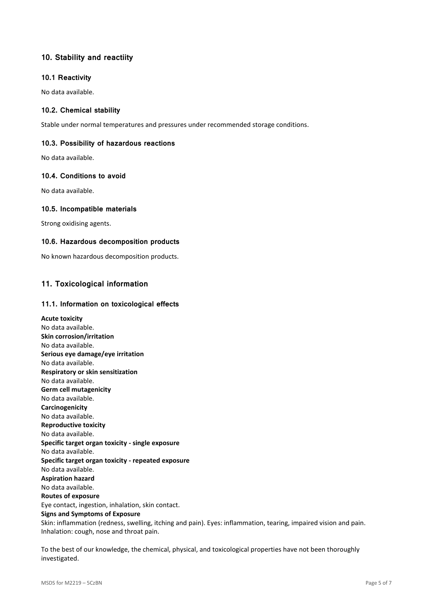# **10. Stability and reactiity**

## **10.1 Reactivity**

No data available.

## **10.2. Chemical stability**

Stable under normal temperatures and pressures under recommended storage conditions.

## **10.3. Possibility of hazardous reactions**

No data available.

## **10.4. Conditions to avoid**

No data available.

## **10.5. Incompatible materials**

Strong oxidising agents.

## **10.6. Hazardous decomposition products**

No known hazardous decomposition products.

# **11. Toxicological information**

## **11.1. Information on toxicological effects**

**Acute toxicity** No data available. **Skin corrosion/irritation** No data available. **Serious eye damage/eye irritation** No data available. **Respiratory or skin sensitization** No data available. **Germ cell mutagenicity** No data available. **Carcinogenicity** No data available. **Reproductive toxicity** No data available. **Specific target organ toxicity - single exposure** No data available. **Specific target organ toxicity - repeated exposure** No data available. **Aspiration hazard** No data available. **Routes of exposure** Eye contact, ingestion, inhalation, skin contact. **Signs and Symptoms of Exposure** Skin: inflammation (redness, swelling, itching and pain). Eyes: inflammation, tearing, impaired vision and pain. Inhalation: cough, nose and throat pain.

To the best of our knowledge, the chemical, physical, and toxicological properties have not been thoroughly investigated.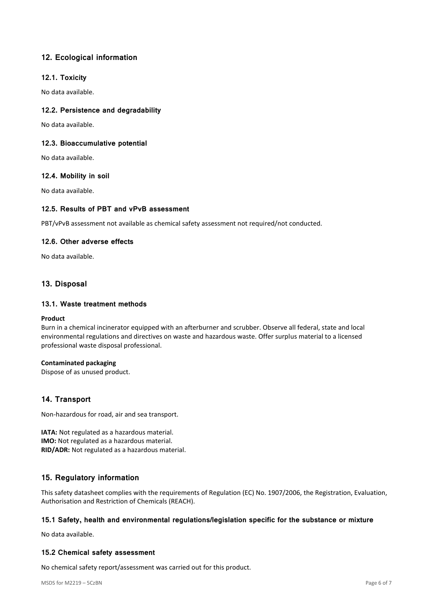# **12. Ecological information**

## **12.1. Toxicity**

No data available.

## **12.2. Persistence and degradability**

No data available.

## **12.3. Bioaccumulative potential**

No data available.

## **12.4. Mobility in soil**

No data available.

## **12.5. Results of PBT and vPvB assessment**

PBT/vPvB assessment not available as chemical safety assessment not required/not conducted.

## **12.6. Other adverse effects**

No data available.

## **13. Disposal**

## **13.1. Waste treatment methods**

#### **Product**

Burn in a chemical incinerator equipped with an afterburner and scrubber. Observe all federal, state and local environmental regulations and directives on waste and hazardous waste. Offer surplus material to a licensed professional waste disposal professional.

## **Contaminated packaging**

Dispose of as unused product.

## **14. Transport**

Non-hazardous for road, air and sea transport.

**IATA:** Not regulated as a hazardous material. **IMO:** Not regulated as a hazardous material. **RID/ADR:** Not regulated as a hazardous material.

## **15. Regulatory information**

This safety datasheet complies with the requirements of Regulation (EC) No. 1907/2006, the Registration, Evaluation, Authorisation and Restriction of Chemicals (REACH).

## **15.1 Safety, health and environmental regulations/legislation specific for the substance or mixture**

No data available.

## **15.2 Chemical safety assessment**

No chemical safety report/assessment was carried out for this product.